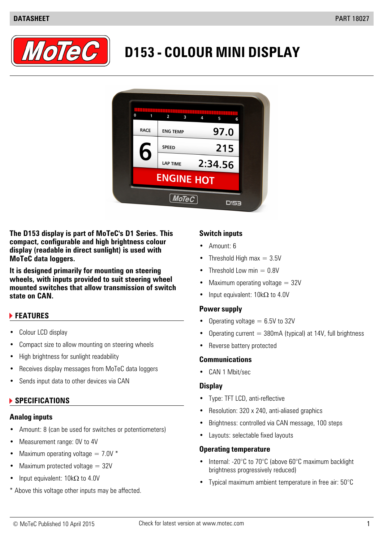

# **D153 - COLOUR MINI DISPLAY**



**The D153 display is part of MoTeC's D1 Series. This Switch inputs compact, configurable and high brightness colour display (readable in direct sunlight) is used with MoTeC data loggers.** • Threshold High max = 3.5V

**It is designed primarily for mounting on steering • Threshold Low min = 0.8V wheels, with inputs provided to suit steering wheel mounted switches that allow transmission of switch**

### **FEATURES**

- 
- Compact size to allow mounting on steering wheels Reverse battery protected
- High brightness for sunlight readability **Communications**
- Receives display messages from MoTeC data loggers
- Sends input data to other devices via CAN

### **Analog inputs**

- Amount: 8 (can be used for switches or potentiometers)
- Measurement range: 0V to 4V
- Maximum operating voltage  $= 7.0V$  \*
- Maximum protected voltage  $= 32V$
- Input equivalent:  $10k\Omega$  to 4.0V
- \* Above this voltage other inputs may be affected.

- Amount: 6
- 
- 
- Maximum operating voltage  $= 32V$
- **state on CAN.** Input equivalent: 10kΩ to 4.0V

### **Power supply**

- Operating voltage  $= 6.5V$  to 32V
- Colour LCD display  **Colour LCD** display  **Colour LCD** display
	-

• CAN 1 Mbit/sec

### **Display**

- **• SPECIFICATIONS • Type: TFT LCD, anti-reflective** 
	- Resolution: 320 x 240, anti-aliased graphics
	- Brightness: controlled via CAN message, 100 steps
	- Layouts: selectable fixed layouts

### **Operating temperature**

- Internal: -20°C to 70°C (above 60°C maximum backlight brightness progressively reduced)
- Typical maximum ambient temperature in free air: 50°C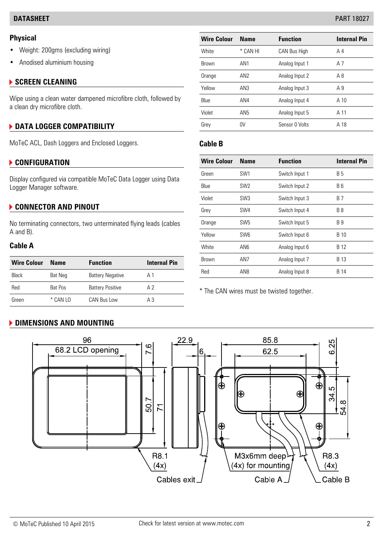- Weight: 200gms (excluding wiring)
- Anodised aluminium housing

### **SCREEN CLEANING**

### **F** DATA LOGGER COMPATIBILITY

MoTeC ACL, Dash Loggers and Enclosed Loggers. **Cable B**

### **CON Wire Colour Name Function Internal Pin FIGURATION**

### **CONNECTOR AND PINOUT**

| <b>Wire Colour</b> | Name     | <b>Function</b>         | <b>Internal Pin</b> | <b>Brown</b>                              | AN7 | Analog Input 7 | <b>B</b> 13 |
|--------------------|----------|-------------------------|---------------------|-------------------------------------------|-----|----------------|-------------|
| Black              | Bat Neg  | <b>Battery Negative</b> | Α1                  | Red                                       | AN8 | Analog Input 8 | <b>B</b> 14 |
| Red                | Bat Pos  | <b>Battery Positive</b> | A 2                 | * The CAN wires must be twisted together. |     |                |             |
| Green              | * CAN LO | CAN Bus Low             | А3                  |                                           |     |                |             |

## **DIMENSIONS AND MOUNTING**

| <b>Physical</b>                                                 | <b>Wire Colour</b> | <b>Name</b>     | <b>Function</b>     | <b>Internal Pin</b> |
|-----------------------------------------------------------------|--------------------|-----------------|---------------------|---------------------|
| • Weight: 200gms (excluding wiring)                             | White              | * CAN HI        | <b>CAN Bus High</b> | A <sub>4</sub>      |
| • Anodised aluminium housing                                    | <b>Brown</b>       | AN <sub>1</sub> | Analog Input 1      | A <sub>7</sub>      |
|                                                                 | Orange             | AN <sub>2</sub> | Analog Input 2      | A8                  |
| <b>SCREEN CLEANING</b>                                          | Yellow             | AN <sub>3</sub> | Analog Input 3      | A <sub>9</sub>      |
| Wipe using a clean water dampened microfibre cloth, followed by | Blue               | AN4             | Analog Input 4      | A 10                |
| a clean dry microfibre cloth.                                   | Violet             | AN <sub>5</sub> | Analog Input 5      | A 11                |
| <b>DATA LOGGER COMPATIBILITY</b>                                | Grey               | 0 <sup>V</sup>  | Sensor 0 Volts      | A 18                |
|                                                                 |                    |                 |                     |                     |

| <b>CONFIGURATION</b>                                             |              |                                                                                    | <b>Function</b>                                                      | <b>Internal Pin</b> |
|------------------------------------------------------------------|--------------|------------------------------------------------------------------------------------|----------------------------------------------------------------------|---------------------|
| Display configured via compatible MoTeC Data Logger using Data   |              |                                                                                    | Switch Input 1                                                       | <b>B5</b>           |
| Logger Manager software.                                         |              | SW <sub>2</sub>                                                                    | Switch Input 2                                                       | <b>B6</b>           |
|                                                                  |              | SW <sub>3</sub>                                                                    | Switch Input 3                                                       | <b>B</b> 7          |
| <b>CONNECTOR AND PINOUT</b>                                      |              |                                                                                    | Switch Input 4                                                       | <b>B</b> 8          |
| No terminating connectors, two unterminated flying leads (cables |              |                                                                                    | Switch Input 5                                                       | <b>B</b> 9          |
| A and B).<br><b>Cable A</b>                                      |              | SW <sub>6</sub>                                                                    | Switch Input 6                                                       | <b>B</b> 10         |
|                                                                  |              | AN <sub>6</sub>                                                                    | Analog Input 6                                                       | B 12                |
| <b>Internal Pin</b>                                              | <b>Brown</b> | AN <sub>7</sub>                                                                    | Analog Input 7                                                       | <b>B</b> 13         |
| A <sub>1</sub>                                                   | Red          | AN <sub>8</sub>                                                                    | Analog Input 8                                                       | B 14                |
|                                                                  |              | <b>Wire Colour</b><br>Green<br>Blue<br>Violet<br>Grey<br>Orange<br>Yellow<br>White | <b>Name</b><br>SW <sub>1</sub><br>SW <sub>4</sub><br>SW <sub>5</sub> |                     |

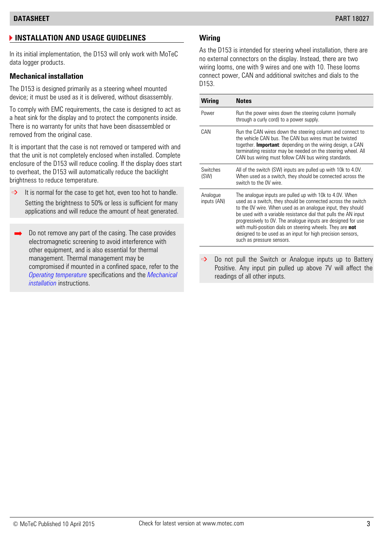# **INSTALLATION AND USAGE GUIDELINES Wiring**

In its initial implementation, the D153 will only work with MoTeC data logger products.

The D153 is designed primarily as a steering wheel mounted device; it must be used as it is delivered, without disassembly.

To comply with EMC requirements, the case is designed to act as a heat sink for the display and to protect the components inside. There is no warranty for units that have been disassembled or removed from the original case.

It is important that the case is not removed or tampered with and that the unit is not completely enclosed when installed. Complete enclosure of the D153 will reduce cooling. If the display does start to overheat, the D153 will automatically reduce the backlight brightness to reduce temperature.

- $\Rightarrow$  It is normal for the case to get hot, even too hot to handle. Setting the brightness to 50% or less is sufficient for many applications and will reduce the amount of heat generated.
- Do not remove any part of the casing. The case provides electromagnetic screening to avoid interference with other equipment, and is also essential for thermal management. Thermal management may be  $\Rightarrow$  Do not pull the Switch or Analogue inputs up to Battery<br>compromised if mounted in a confined space, refer to the  $\Rightarrow$  Positive Any input pin pulled up above 7V will affect the *Operating temperature* specifications and the *Mechanical installation* instructions.

As the D153 is intended for steering wheel installation, there are no external connectors on the display. Instead, there are two wiring looms, one with 9 wires and one with 10. These looms **Mechanical installation Mechanical installation** connect power, CAN and additional switches and dials to the D153.

| Wiring                  | <b>Notes</b>                                                                                                                                                                                                                                                                                                                                                                                                                                                                          |
|-------------------------|---------------------------------------------------------------------------------------------------------------------------------------------------------------------------------------------------------------------------------------------------------------------------------------------------------------------------------------------------------------------------------------------------------------------------------------------------------------------------------------|
| Power                   | Run the power wires down the steering column (normally<br>through a curly cord) to a power supply.                                                                                                                                                                                                                                                                                                                                                                                    |
| CAN                     | Run the CAN wires down the steering column and connect to<br>the vehicle CAN bus. The CAN bus wires must be twisted<br>together. <b>Important</b> : depending on the wiring design, a CAN<br>terminating resistor may be needed on the steering wheel. All<br>CAN bus wiring must follow CAN bus wiring standards.                                                                                                                                                                    |
| Switches<br>(SW)        | All of the switch (SW) inputs are pulled up with 10k to 4.0V.<br>When used as a switch, they should be connected across the<br>switch to the OV wire                                                                                                                                                                                                                                                                                                                                  |
| Analogue<br>inputs (AN) | The analogue inputs are pulled up with 10k to 4.0V. When<br>used as a switch, they should be connected across the switch<br>to the OV wire. When used as an analogue input, they should<br>be used with a variable resistance dial that pulls the AN input<br>progressively to OV. The analogue inputs are designed for use<br>with multi-position dials on steering wheels. They are not<br>designed to be used as an input for high precision sensors,<br>such as pressure sensors. |

Positive. Any input pin pulled up above 7V will affect the readings of all other inputs.